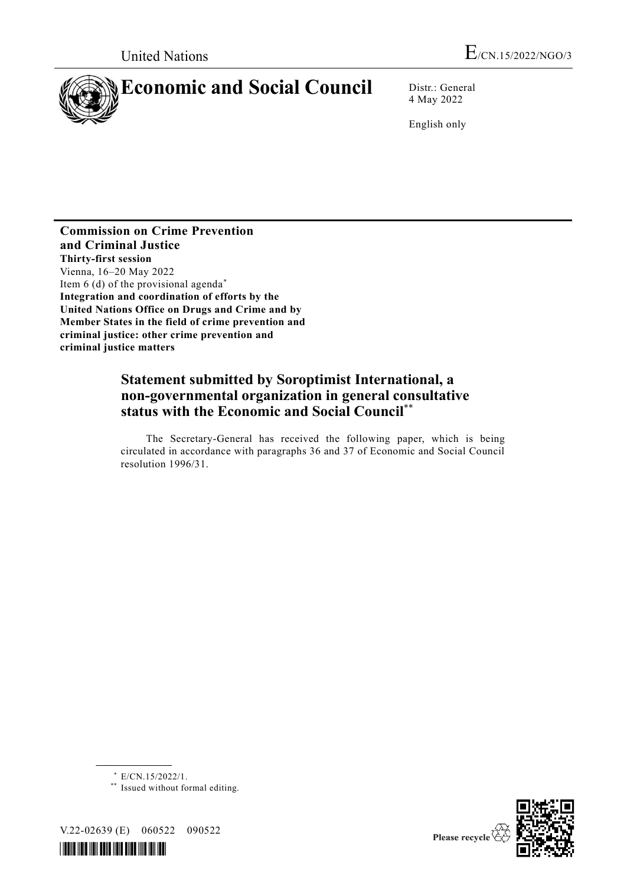

4 May 2022

English only

**Commission on Crime Prevention and Criminal Justice Thirty-first session** Vienna, 16–20 May 2022 Item  $6$  (d) of the provisional agenda<sup>\*</sup> **Integration and coordination of efforts by the United Nations Office on Drugs and Crime and by Member States in the field of crime prevention and criminal justice: other crime prevention and criminal justice matters**

# **Statement submitted by Soroptimist International, a non-governmental organization in general consultative status with the Economic and Social Council**\*\*

The Secretary-General has received the following paper, which is being circulated in accordance with paragraphs 36 and 37 of Economic and Social Council resolution 1996/31.

\* E/CN.15/2022/1.

\*\* Issued without formal editing.

V.22-02639 (E) 060522 090522

**\_\_\_\_\_\_\_\_\_\_\_\_\_\_\_\_\_\_**



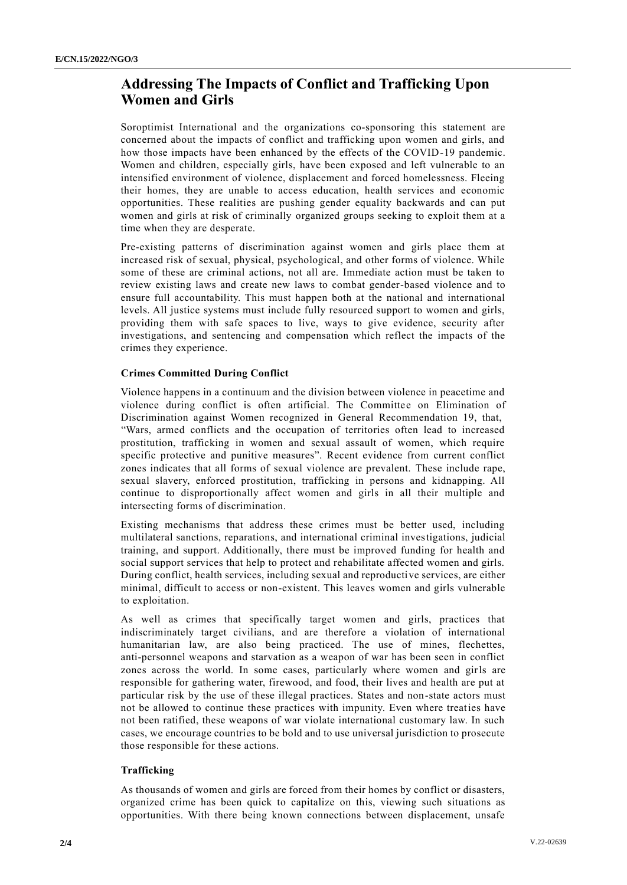# **Addressing The Impacts of Conflict and Trafficking Upon Women and Girls**

Soroptimist International and the organizations co-sponsoring this statement are concerned about the impacts of conflict and trafficking upon women and girls, and how those impacts have been enhanced by the effects of the COVID-19 pandemic. Women and children, especially girls, have been exposed and left vulnerable to an intensified environment of violence, displacement and forced homelessness. Fleeing their homes, they are unable to access education, health services and economic opportunities. These realities are pushing gender equality backwards and can put women and girls at risk of criminally organized groups seeking to exploit them at a time when they are desperate.

Pre-existing patterns of discrimination against women and girls place them at increased risk of sexual, physical, psychological, and other forms of violence. While some of these are criminal actions, not all are. Immediate action must be taken to review existing laws and create new laws to combat gender-based violence and to ensure full accountability. This must happen both at the national and international levels. All justice systems must include fully resourced support to women and girls, providing them with safe spaces to live, ways to give evidence, security after investigations, and sentencing and compensation which reflect the impacts of the crimes they experience.

### **Crimes Committed During Conflict**

Violence happens in a continuum and the division between violence in peacetime and violence during conflict is often artificial. The Committee on Elimination of Discrimination against Women recognized in General Recommendation 19, that, "Wars, armed conflicts and the occupation of territories often lead to increased prostitution, trafficking in women and sexual assault of women, which require specific protective and punitive measures". Recent evidence from current conflict zones indicates that all forms of sexual violence are prevalent. These include rape, sexual slavery, enforced prostitution, trafficking in persons and kidnapping. All continue to disproportionally affect women and girls in all their multiple and intersecting forms of discrimination.

Existing mechanisms that address these crimes must be better used, including multilateral sanctions, reparations, and international criminal investigations, judicial training, and support. Additionally, there must be improved funding for health and social support services that help to protect and rehabilitate affected women and girls. During conflict, health services, including sexual and reproductive services, are either minimal, difficult to access or non-existent. This leaves women and girls vulnerable to exploitation.

As well as crimes that specifically target women and girls, practices that indiscriminately target civilians, and are therefore a violation of international humanitarian law, are also being practiced. The use of mines, flechettes, anti-personnel weapons and starvation as a weapon of war has been seen in conflict zones across the world. In some cases, particularly where women and girls are responsible for gathering water, firewood, and food, their lives and health are put at particular risk by the use of these illegal practices. States and non-state actors must not be allowed to continue these practices with impunity. Even where treaties have not been ratified, these weapons of war violate international customary law. In such cases, we encourage countries to be bold and to use universal jurisdiction to prosecute those responsible for these actions.

### **Trafficking**

As thousands of women and girls are forced from their homes by conflict or disasters, organized crime has been quick to capitalize on this, viewing such situations as opportunities. With there being known connections between displacement, unsafe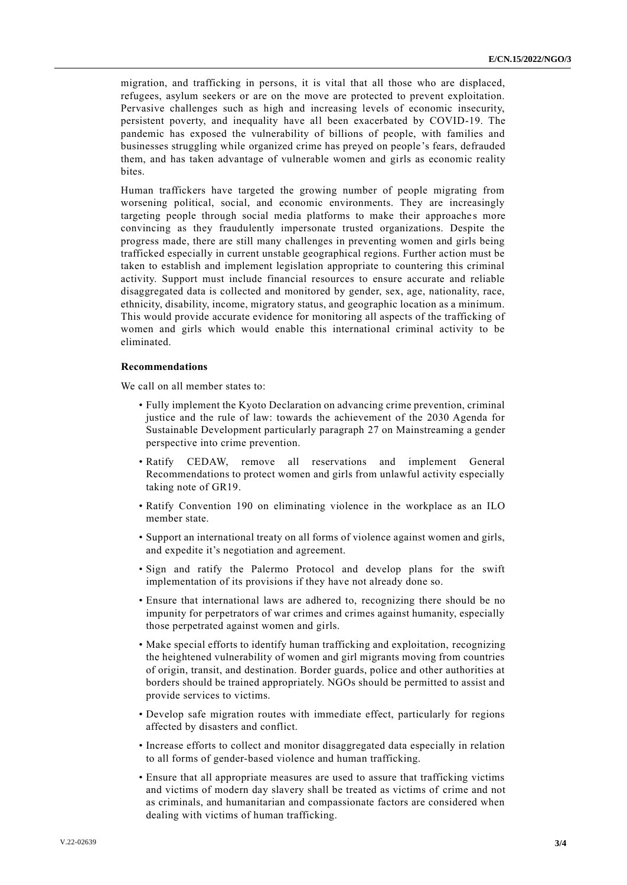migration, and trafficking in persons, it is vital that all those who are displaced, refugees, asylum seekers or are on the move are protected to prevent exploitation. Pervasive challenges such as high and increasing levels of economic insecurity, persistent poverty, and inequality have all been exacerbated by COVID-19. The pandemic has exposed the vulnerability of billions of people, with families and businesses struggling while organized crime has preyed on people 's fears, defrauded them, and has taken advantage of vulnerable women and girls as economic reality bites.

Human traffickers have targeted the growing number of people migrating from worsening political, social, and economic environments. They are increasingly targeting people through social media platforms to make their approaches more convincing as they fraudulently impersonate trusted organizations. Despite the progress made, there are still many challenges in preventing women and girls being trafficked especially in current unstable geographical regions. Further action must be taken to establish and implement legislation appropriate to countering this criminal activity. Support must include financial resources to ensure accurate and reliable disaggregated data is collected and monitored by gender, sex, age, nationality, race, ethnicity, disability, income, migratory status, and geographic location as a minimum. This would provide accurate evidence for monitoring all aspects of the trafficking of women and girls which would enable this international criminal activity to be eliminated.

#### **Recommendations**

We call on all member states to:

- Fully implement the Kyoto Declaration on advancing crime prevention, criminal justice and the rule of law: towards the achievement of the 2030 Agenda for Sustainable Development particularly paragraph 27 on Mainstreaming a gender perspective into crime prevention.
- Ratify CEDAW, remove all reservations and implement General Recommendations to protect women and girls from unlawful activity especially taking note of GR19.
- Ratify Convention 190 on eliminating violence in the workplace as an ILO member state.
- Support an international treaty on all forms of violence against women and girls, and expedite it's negotiation and agreement.
- Sign and ratify the Palermo Protocol and develop plans for the swift implementation of its provisions if they have not already done so.
- Ensure that international laws are adhered to, recognizing there should be no impunity for perpetrators of war crimes and crimes against humanity, especially those perpetrated against women and girls.
- Make special efforts to identify human trafficking and exploitation, recognizing the heightened vulnerability of women and girl migrants moving from countries of origin, transit, and destination. Border guards, police and other authorities at borders should be trained appropriately. NGOs should be permitted to assist and provide services to victims.
- Develop safe migration routes with immediate effect, particularly for regions affected by disasters and conflict.
- Increase efforts to collect and monitor disaggregated data especially in relation to all forms of gender-based violence and human trafficking.
- Ensure that all appropriate measures are used to assure that trafficking victims and victims of modern day slavery shall be treated as victims of crime and not as criminals, and humanitarian and compassionate factors are considered when dealing with victims of human trafficking.